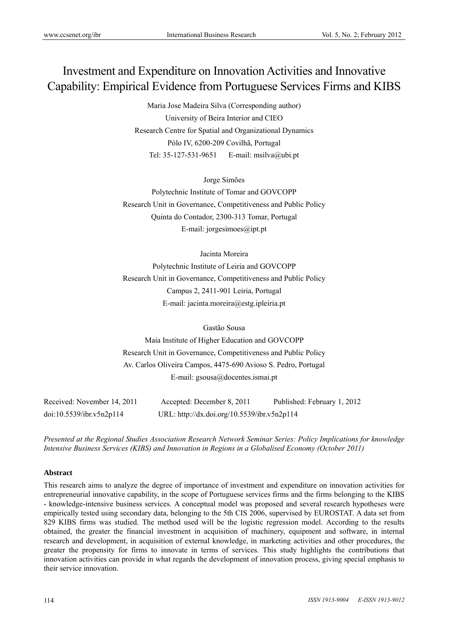# Investment and Expenditure on Innovation Activities and Innovative Capability: Empirical Evidence from Portuguese Services Firms and KIBS

Maria Jose Madeira Silva (Corresponding author) University of Beira Interior and CIEO Research Centre for Spatial and Organizational Dynamics Pólo IV, 6200-209 Covilhã, Portugal Tel: 35-127-531-9651 E-mail: msilva@ubi.pt

Jorge Simões

Polytechnic Institute of Tomar and GOVCOPP Research Unit in Governance, Competitiveness and Public Policy Quinta do Contador, 2300-313 Tomar, Portugal E-mail: jorgesimoes@ipt.pt

Jacinta Moreira Polytechnic Institute of Leiria and GOVCOPP Research Unit in Governance, Competitiveness and Public Policy Campus 2, 2411-901 Leiria, Portugal E-mail: jacinta.moreira@estg.ipleiria.pt

Gastão Sousa Maia Institute of Higher Education and GOVCOPP Research Unit in Governance, Competitiveness and Public Policy Av. Carlos Oliveira Campos, 4475-690 Avioso S. Pedro, Portugal E-mail: gsousa@docentes.ismai.pt

| Received: November 14, 2011 | Accepted: December 8, 2011                  | Published: February 1, 2012 |
|-----------------------------|---------------------------------------------|-----------------------------|
| doi:10.5539/ibr.v5n2p114    | URL: http://dx.doi.org/10.5539/ibr.v5n2p114 |                             |

*Presented at the Regional Studies Association Research Network Seminar Series: Policy Implications for knowledge Intensive Business Services (KIBS) and Innovation in Regions in a Globalised Economy (October 2011)* 

## **Abstract**

This research aims to analyze the degree of importance of investment and expenditure on innovation activities for entrepreneurial innovative capability, in the scope of Portuguese services firms and the firms belonging to the KIBS - knowledge-intensive business services. A conceptual model was proposed and several research hypotheses were empirically tested using secondary data, belonging to the 5th CIS 2006, supervised by EUROSTAT. A data set from 829 KIBS firms was studied. The method used will be the logistic regression model. According to the results obtained, the greater the financial investment in acquisition of machinery, equipment and software, in internal research and development, in acquisition of external knowledge, in marketing activities and other procedures, the greater the propensity for firms to innovate in terms of services. This study highlights the contributions that innovation activities can provide in what regards the development of innovation process, giving special emphasis to their service innovation.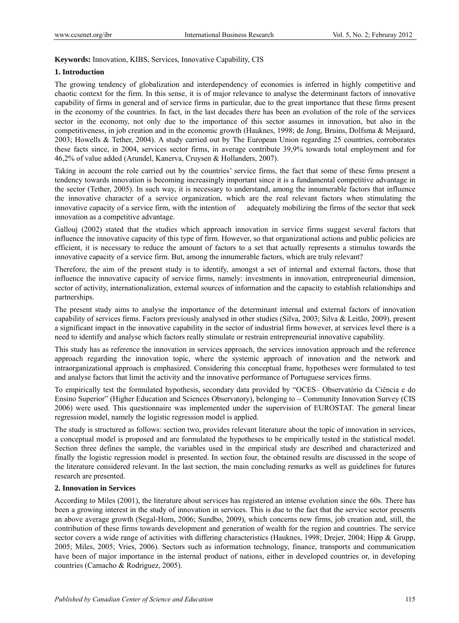**Keywords:** Innovation, KIBS, Services, Innovative Capability, CIS

# **1. Introduction**

The growing tendency of globalization and interdependency of economies is inferred in highly competitive and chaotic context for the firm. In this sense, it is of major relevance to analyse the determinant factors of innovative capability of firms in general and of service firms in particular, due to the great importance that these firms present in the economy of the countries. In fact, in the last decades there has been an evolution of the role of the services sector in the economy, not only due to the importance of this sector assumes in innovation, but also in the competitiveness, in job creation and in the economic growth (Hauknes, 1998; de Jong, Bruins, Dolfsma & Meijaard, 2003; Howells & Tether, 2004). A study carried out by The European Union regarding 25 countries, corroborates these facts since, in 2004, services sector firms, in average contribute 39,9% towards total employment and for 46,2% of value added (Arundel, Kanerva, Cruysen & Hollanders, 2007).

Taking in account the role carried out by the countries' service firms, the fact that some of these firms present a tendency towards innovation is becoming increasingly important since it is a fundamental competitive advantage in the sector (Tether, 2005). In such way, it is necessary to understand, among the innumerable factors that influence the innovative character of a service organization, which are the real relevant factors when stimulating the innovative capacity of a service firm, with the intention of adequately mobilizing the firms of the sector that seek innovation as a competitive advantage.

Gallouj (2002) stated that the studies which approach innovation in service firms suggest several factors that influence the innovative capacity of this type of firm. However, so that organizational actions and public policies are efficient, it is necessary to reduce the amount of factors to a set that actually represents a stimulus towards the innovative capacity of a service firm. But, among the innumerable factors, which are truly relevant?

Therefore, the aim of the present study is to identify, amongst a set of internal and external factors, those that influence the innovative capacity of service firms, namely: investments in innovation, entrepreneurial dimension, sector of activity, internationalization, external sources of information and the capacity to establish relationships and partnerships.

The present study aims to analyse the importance of the determinant internal and external factors of innovation capability of services firms. Factors previously analysed in other studies (Silva, 2003; Silva & Leitão, 2009), present a significant impact in the innovative capability in the sector of industrial firms however, at services level there is a need to identify and analyse which factors really stimulate or restrain entrepreneurial innovative capability.

This study has as reference the innovation in services approach, the services innovation approach and the reference approach regarding the innovation topic, where the systemic approach of innovation and the network and intraorganizational approach is emphasized. Considering this conceptual frame, hypotheses were formulated to test and analyse factors that limit the activity and the innovative performance of Portuguese services firms.

To empirically test the formulated hypothesis, secondary data provided by "OCES– Observatório da Ciência e do Ensino Superior" (Higher Education and Sciences Observatory), belonging to – Community Innovation Survey (CIS 2006) were used. This questionnaire was implemented under the supervision of EUROSTAT. The general linear regression model, namely the logistic regression model is applied.

The study is structured as follows: section two, provides relevant literature about the topic of innovation in services, a conceptual model is proposed and are formulated the hypotheses to be empirically tested in the statistical model. Section three defines the sample, the variables used in the empirical study are described and characterized and finally the logistic regression model is presented. In section four, the obtained results are discussed in the scope of the literature considered relevant. In the last section, the main concluding remarks as well as guidelines for futures research are presented.

## **2. Innovation in Services**

According to Miles (2001), the literature about services has registered an intense evolution since the 60s. There has been a growing interest in the study of innovation in services. This is due to the fact that the service sector presents an above average growth (Segal-Horn, 2006; Sundbo, 2009), which concerns new firms, job creation and, still, the contribution of these firms towards development and generation of wealth for the region and countries. The service sector covers a wide range of activities with differing characteristics (Hauknes, 1998; Drejer, 2004; Hipp & Grupp, 2005; Miles, 2005; Vries, 2006). Sectors such as information technology, finance, transports and communication have been of major importance in the internal product of nations, either in developed countries or, in developing countries (Camacho & Rodriguez, 2005).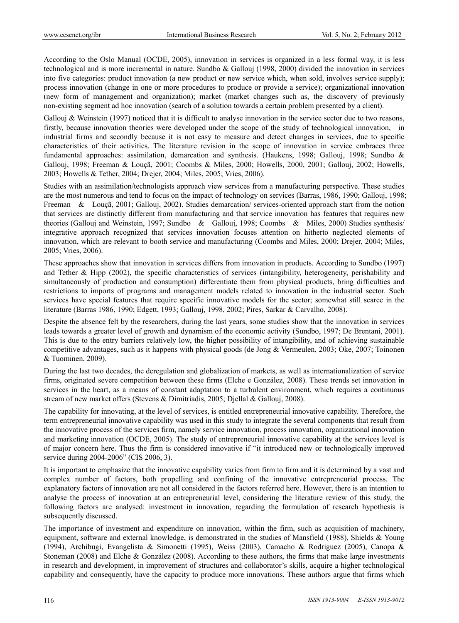According to the Oslo Manual (OCDE, 2005), innovation in services is organized in a less formal way, it is less technological and is more incremental in nature. Sundbo & Gallouj (1998, 2000) divided the innovation in services into five categories: product innovation (a new product or new service which, when sold, involves service supply); process innovation (change in one or more procedures to produce or provide a service); organizational innovation (new form of management and organization); market (market changes such as, the discovery of previously non-existing segment ad hoc innovation (search of a solution towards a certain problem presented by a client).

Gallouj & Weinstein (1997) noticed that it is difficult to analyse innovation in the service sector due to two reasons, firstly, because innovation theories were developed under the scope of the study of technological innovation, in industrial firms and secondly because it is not easy to measure and detect changes in services, due to specific characteristics of their activities. The literature revision in the scope of innovation in service embraces three fundamental approaches: assimilation, demarcation and synthesis. (Haukens, 1998; Gallouj, 1998; Sundbo & Gallouj, 1998; Freeman & Louçã, 2001; Coombs & Miles, 2000; Howells, 2000, 2001; Gallouj, 2002; Howells, 2003; Howells & Tether, 2004; Drejer, 2004; Miles, 2005; Vries, 2006).

Studies with an assimilation/technologists approach view services from a manufacturing perspective. These studies are the most numerous and tend to focus on the impact of technology on services (Barras, 1986, 1990; Gallouj, 1998; Freeman & Louçã, 2001; Gallouj, 2002). Studies demarcation/ services-oriented approach start from the notion that services are distinctly different from manufacturing and that service innovation has features that requires new theories (Gallouj and Weinstein, 1997; Sundbo & Gallouj, 1998; Coombs & Miles, 2000) Studies synthesis/ integrative approach recognized that services innovation focuses attention on hitherto neglected elements of innovation, which are relevant to booth service and manufacturing (Coombs and Miles, 2000; Drejer, 2004; Miles, 2005; Vries, 2006).

These approaches show that innovation in services differs from innovation in products. According to Sundbo (1997) and Tether & Hipp (2002), the specific characteristics of services (intangibility, heterogeneity, perishability and simultaneously of production and consumption) differentiate them from physical products, bring difficulties and restrictions to imports of programs and management models related to innovation in the industrial sector. Such services have special features that require specific innovative models for the sector; somewhat still scarce in the literature (Barras 1986, 1990; Edgett, 1993; Gallouj, 1998, 2002; Pires, Sarkar & Carvalho, 2008).

Despite the absence felt by the researchers, during the last years, some studies show that the innovation in services leads towards a greater level of growth and dynamism of the economic activity (Sundbo, 1997; De Brentani, 2001). This is due to the entry barriers relatively low, the higher possibility of intangibility, and of achieving sustainable competitive advantages, such as it happens with physical goods (de Jong & Vermeulen, 2003; Oke, 2007; Toinonen & Tuominen, 2009).

During the last two decades, the deregulation and globalization of markets, as well as internationalization of service firms, originated severe competition between these firms (Elche e González, 2008). These trends set innovation in services in the heart, as a means of constant adaptation to a turbulent environment, which requires a continuous stream of new market offers (Stevens & Dimitriadis, 2005; Djellal & Gallouj, 2008).

The capability for innovating, at the level of services, is entitled entrepreneurial innovative capability. Therefore, the term entrepreneurial innovative capability was used in this study to integrate the several components that result from the innovative process of the services firm, namely service innovation, process innovation, organizational innovation and marketing innovation (OCDE, 2005). The study of entrepreneurial innovative capability at the services level is of major concern here. Thus the firm is considered innovative if "it introduced new or technologically improved service during 2004-2006" (CIS 2006, 3).

It is important to emphasize that the innovative capability varies from firm to firm and it is determined by a vast and complex number of factors, both propelling and confining of the innovative entrepreneurial process. The explanatory factors of innovation are not all considered in the factors referred here. However, there is an intention to analyse the process of innovation at an entrepreneurial level, considering the literature review of this study, the following factors are analysed: investment in innovation, regarding the formulation of research hypothesis is subsequently discussed.

The importance of investment and expenditure on innovation, within the firm, such as acquisition of machinery, equipment, software and external knowledge, is demonstrated in the studies of Mansfield (1988), Shields & Young (1994), Archibugi, Evangelista & Simonetti (1995), Weiss (2003), Camacho & Rodriguez (2005), Canopa & Stoneman (2008) and Elche & González (2008). According to these authors, the firms that make large investments in research and development, in improvement of structures and collaborator's skills, acquire a higher technological capability and consequently, have the capacity to produce more innovations. These authors argue that firms which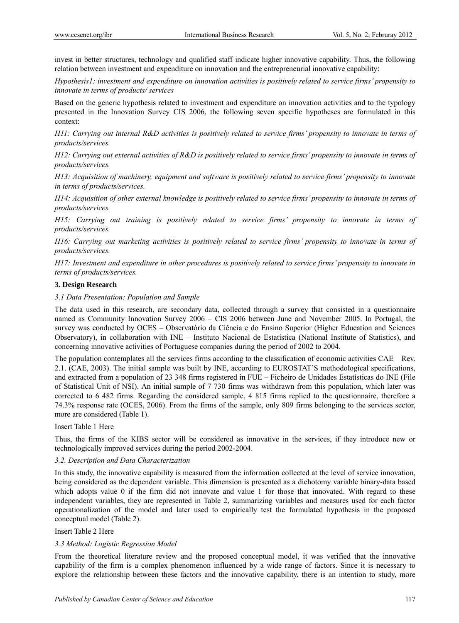invest in better structures, technology and qualified staff indicate higher innovative capability. Thus, the following relation between investment and expenditure on innovation and the entrepreneurial innovative capability:

*Hypothesis1: investment and expenditure on innovation activities is positively related to service firms' propensity to innovate in terms of products/ services* 

Based on the generic hypothesis related to investment and expenditure on innovation activities and to the typology presented in the Innovation Survey CIS 2006, the following seven specific hypotheses are formulated in this context:

*H11: Carrying out internal R&D activities is positively related to service firms' propensity to innovate in terms of products/services.* 

*H12: Carrying out external activities of R&D is positively related to service firms' propensity to innovate in terms of products/services.* 

*H13: Acquisition of machinery, equipment and software is positively related to service firms' propensity to innovate in terms of products/services.* 

*H14: Acquisition of other external knowledge is positively related to service firms' propensity to innovate in terms of products/services.* 

*H15: Carrying out training is positively related to service firms' propensity to innovate in terms of products/services.* 

*H16: Carrying out marketing activities is positively related to service firms' propensity to innovate in terms of products/services.* 

*H17: Investment and expenditure in other procedures is positively related to service firms' propensity to innovate in terms of products/services.* 

# **3. Design Research**

*3.1 Data Presentation: Population and Sample* 

The data used in this research, are secondary data, collected through a survey that consisted in a questionnaire named as Community Innovation Survey 2006 – CIS 2006 between June and November 2005. In Portugal, the survey was conducted by OCES – Observatório da Ciência e do Ensino Superior (Higher Education and Sciences Observatory), in collaboration with INE – Instituto Nacional de Estatística (National Institute of Statistics), and concerning innovative activities of Portuguese companies during the period of 2002 to 2004.

The population contemplates all the services firms according to the classification of economic activities CAE – Rev. 2.1. (CAE, 2003). The initial sample was built by INE, according to EUROSTAT'S methodological specifications, and extracted from a population of 23 348 firms registered in FUE – Ficheiro de Unidades Estatísticas do INE (File of Statistical Unit of NSI). An initial sample of 7 730 firms was withdrawn from this population, which later was corrected to 6 482 firms. Regarding the considered sample, 4 815 firms replied to the questionnaire, therefore a 74.3% response rate (OCES, 2006). From the firms of the sample, only 809 firms belonging to the services sector, more are considered (Table 1).

#### Insert Table 1 Here

Thus, the firms of the KIBS sector will be considered as innovative in the services, if they introduce new or technologically improved services during the period 2002-2004.

#### *3.2. Description and Data Characterization*

In this study, the innovative capability is measured from the information collected at the level of service innovation, being considered as the dependent variable. This dimension is presented as a dichotomy variable binary-data based which adopts value 0 if the firm did not innovate and value 1 for those that innovated. With regard to these independent variables, they are represented in Table 2, summarizing variables and measures used for each factor operationalization of the model and later used to empirically test the formulated hypothesis in the proposed conceptual model (Table 2).

## Insert Table 2 Here

## *3.3 Method: Logistic Regression Model*

From the theoretical literature review and the proposed conceptual model, it was verified that the innovative capability of the firm is a complex phenomenon influenced by a wide range of factors. Since it is necessary to explore the relationship between these factors and the innovative capability, there is an intention to study, more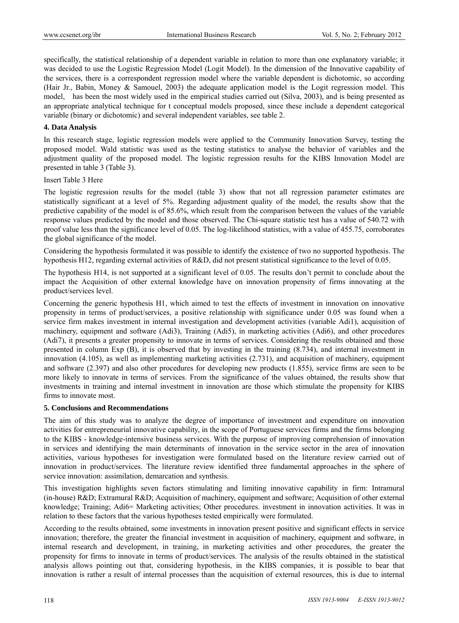specifically, the statistical relationship of a dependent variable in relation to more than one explanatory variable; it was decided to use the Logistic Regression Model (Logit Model). In the dimension of the Innovative capability of the services, there is a correspondent regression model where the variable dependent is dichotomic, so according (Hair Jr., Babin, Money & Samouel, 2003) the adequate application model is the Logit regression model. This model, has been the most widely used in the empirical studies carried out (Silva, 2003), and is being presented as an appropriate analytical technique for t conceptual models proposed, since these include a dependent categorical variable (binary or dichotomic) and several independent variables, see table 2.

#### **4. Data Analysis**

In this research stage, logistic regression models were applied to the Community Innovation Survey, testing the proposed model. Wald statistic was used as the testing statistics to analyse the behavior of variables and the adjustment quality of the proposed model. The logistic regression results for the KIBS Innovation Model are presented in table 3 (Table 3).

#### Insert Table 3 Here

The logistic regression results for the model (table 3) show that not all regression parameter estimates are statistically significant at a level of 5%. Regarding adjustment quality of the model, the results show that the predictive capability of the model is of 85.6%, which result from the comparison between the values of the variable response values predicted by the model and those observed. The Chi-square statistic test has a value of 540.72 with proof value less than the significance level of 0.05. The log-likelihood statistics, with a value of 455.75, corroborates the global significance of the model.

Considering the hypothesis formulated it was possible to identify the existence of two no supported hypothesis. The hypothesis H12, regarding external activities of R&D, did not present statistical significance to the level of 0.05.

The hypothesis H14, is not supported at a significant level of 0.05. The results don't permit to conclude about the impact the Acquisition of other external knowledge have on innovation propensity of firms innovating at the product/services level.

Concerning the generic hypothesis H1, which aimed to test the effects of investment in innovation on innovative propensity in terms of product/services, a positive relationship with significance under 0.05 was found when a service firm makes investment in internal investigation and development activities (variable Adi1), acquisition of machinery, equipment and software (Adi3), Training (Adi5), in marketing activities (Adi6), and other procedures (Adi7), it presents a greater propensity to innovate in terms of services. Considering the results obtained and those presented in column Exp (B), it is observed that by investing in the training (8.734), and internal investment in innovation (4.105), as well as implementing marketing activities (2.731), and acquisition of machinery, equipment and software (2.397) and also other procedures for developing new products (1.855), service firms are seen to be more likely to innovate in terms of services. From the significance of the values obtained, the results show that investments in training and internal investment in innovation are those which stimulate the propensity for KIBS firms to innovate most.

## **5. Conclusions and Recommendations**

The aim of this study was to analyze the degree of importance of investment and expenditure on innovation activities for entrepreneurial innovative capability, in the scope of Portuguese services firms and the firms belonging to the KIBS - knowledge-intensive business services. With the purpose of improving comprehension of innovation in services and identifying the main determinants of innovation in the service sector in the area of innovation activities, various hypotheses for investigation were formulated based on the literature review carried out of innovation in product/services. The literature review identified three fundamental approaches in the sphere of service innovation: assimilation, demarcation and synthesis.

This investigation highlights seven factors stimulating and limiting innovative capability in firm: Intramural (in-house) R&D; Extramural R&D; Acquisition of machinery, equipment and software; Acquisition of other external knowledge; Training; Adi6= Marketing activities; Other procedures. investment in innovation activities. It was in relation to these factors that the various hypotheses tested empirically were formulated.

According to the results obtained, some investments in innovation present positive and significant effects in service innovation; therefore, the greater the financial investment in acquisition of machinery, equipment and software, in internal research and development, in training, in marketing activities and other procedures, the greater the propensity for firms to innovate in terms of product/services. The analysis of the results obtained in the statistical analysis allows pointing out that, considering hypothesis, in the KIBS companies, it is possible to bear that innovation is rather a result of internal processes than the acquisition of external resources, this is due to internal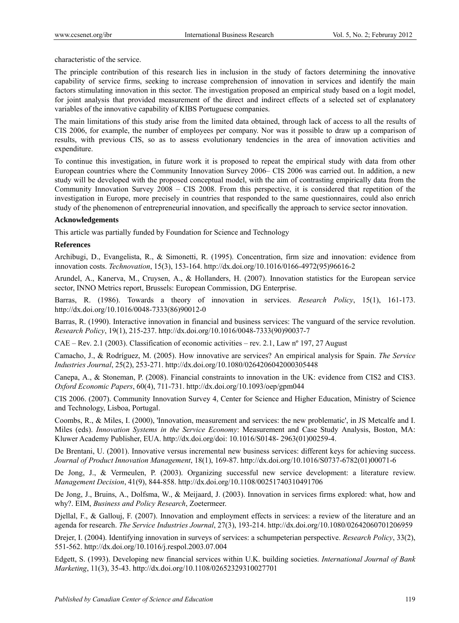characteristic of the service.

The principle contribution of this research lies in inclusion in the study of factors determining the innovative capability of service firms, seeking to increase comprehension of innovation in services and identify the main factors stimulating innovation in this sector. The investigation proposed an empirical study based on a logit model, for joint analysis that provided measurement of the direct and indirect effects of a selected set of explanatory variables of the innovative capability of KIBS Portuguese companies.

The main limitations of this study arise from the limited data obtained, through lack of access to all the results of CIS 2006, for example, the number of employees per company. Nor was it possible to draw up a comparison of results, with previous CIS, so as to assess evolutionary tendencies in the area of innovation activities and expenditure.

To continue this investigation, in future work it is proposed to repeat the empirical study with data from other European countries where the Community Innovation Survey 2006– CIS 2006 was carried out. In addition, a new study will be developed with the proposed conceptual model, with the aim of contrasting empirically data from the Community Innovation Survey 2008 – CIS 2008. From this perspective, it is considered that repetition of the investigation in Europe, more precisely in countries that responded to the same questionnaires, could also enrich study of the phenomenon of entrepreneurial innovation, and specifically the approach to service sector innovation.

## **Acknowledgements**

This article was partially funded by Foundation for Science and Technology

## **References**

Archibugi, D., Evangelista, R., & Simonetti, R. (1995). Concentration, firm size and innovation: evidence from innovation costs. *Technovation*, 15(3), 153-164. http://dx.doi.org/10.1016/0166-4972(95)96616-2

Arundel, A., Kanerva, M., Cruysen, A., & Hollanders, H. (2007). Innovation statistics for the European service sector, INNO Metrics report, Brussels: European Commission, DG Enterprise.

Barras, R. (1986). Towards a theory of innovation in services. *Research Policy*, 15(1), 161-173. http://dx.doi.org/10.1016/0048-7333(86)90012-0

Barras, R. (1990). Interactive innovation in financial and business services: The vanguard of the service revolution. *Research Policy*, 19(1), 215-237. http://dx.doi.org/10.1016/0048-7333(90)90037-7

CAE – Rev. 2.1 (2003). Classification of economic activities – rev. 2.1, Law nº 197, 27 August

Camacho, J., & Rodríguez, M. (2005). How innovative are services? An empirical analysis for Spain. *The Service Industries Journal*, 25(2), 253-271. http://dx.doi.org/10.1080/0264206042000305448

Canepa, A., & Stoneman, P. (2008). Financial constraints to innovation in the UK: evidence from CIS2 and CIS3. *Oxford Economic Papers*, 60(4), 711-731. http://dx.doi.org/10.1093/oep/gpm044

CIS 2006. (2007). Community Innovation Survey 4, Center for Science and Higher Education, Ministry of Science and Technology, Lisboa, Portugal.

Coombs, R., & Miles, I. (2000), 'Innovation, measurement and services: the new problematic', in JS Metcalfe and I. Miles (eds). *Innovation Systems in the Service Economy*: Measurement and Case Study Analysis, Boston, MA: Kluwer Academy Publisher, EUA. http://dx.doi.org/doi: 10.1016/S0148- 2963(01)00259-4.

De Brentani, U. (2001). Innovative versus incremental new business services: different keys for achieving success. *Journal of Product Innovation Management*, 18(1), 169-87. http://dx.doi.org/10.1016/S0737-6782(01)00071-6

De Jong, J., & Vermeulen, P. (2003). Organizing successful new service development: a literature review. *Management Decision*, 41(9), 844-858. http://dx.doi.org/10.1108/00251740310491706

De Jong, J., Bruins, A., Dolfsma, W., & Meijaard, J. (2003). Innovation in services firms explored: what, how and why?. EIM, *Business and Policy Research*, Zoetermeer.

Djellal, F., & Gallouj, F. (2007). Innovation and employment effects in services: a review of the literature and an agenda for research. *The Service Industries Journal*, 27(3), 193-214. http://dx.doi.org/10.1080/02642060701206959

Drejer, I. (2004). Identifying innovation in surveys of services: a schumpeterian perspective. *Research Policy*, 33(2), 551-562. http://dx.doi.org/10.1016/j.respol.2003.07.004

Edgett, S. (1993). Developing new financial services within U.K. building societies. *International Journal of Bank Marketing*, 11(3), 35-43. http://dx.doi.org/10.1108/02652329310027701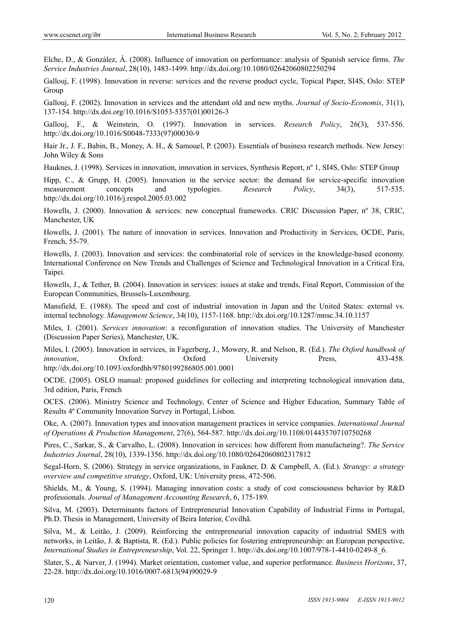Elche, D., & González, Á. (2008). Influence of innovation on performance: analysis of Spanish service firms. *The Service Industries Journal*, 28(10), 1483-1499. http://dx.doi.org/10.1080/02642060802250294

Gallouj, F. (1998). Innovation in reverse: services and the reverse product cycle, Topical Paper, SI4S, Oslo: STEP Group

Gallouj, F. (2002). Innovation in services and the attendant old and new myths. *Journal of Socio-Economis*, 31(1), 137-154. http://dx.doi.org/10.1016/S1053-5357(01)00126-3

Gallouj, F., & Weinstein, O. (1997). Innovation in services. *Research Policy*, 26(3), 537-556. http://dx.doi.org/10.1016/S0048-7333(97)00030-9

Hair Jr., J. F., Babin, B., Money, A. H., & Samouel, P. (2003). Essentials of business research methods. New Jersey: John Wiley & Sons

Hauknes, J. (1998). Services in innovation, innovation in services, Synthesis Report, nº 1, SI4S, Oslo: STEP Group

Hipp, C., & Grupp, H. (2005). Innovation in the service sector: the demand for service-specific innovation measurement concepts and typologies. *Research Policy*, 34(3), 517-535. http://dx.doi.org/10.1016/j.respol.2005.03.002

Howells, J. (2000). Innovation & services: new conceptual frameworks. CRIC Discussion Paper, n° 38, CRIC, Manchester, UK

Howells, J. (2001). The nature of innovation in services. Innovation and Productivity in Services, OCDE, Paris, French, 55-79.

Howells, J. (2003). Innovation and services: the combinatorial role of services in the knowledge-based economy. International Conference on New Trends and Challenges of Science and Technological Innovation in a Critical Era, Taipei.

Howells, J., & Tether, B. (2004). Innovation in services: issues at stake and trends, Final Report, Commission of the European Communities, Brussels-Luxembourg.

Mansfield, E. (1988). The speed and cost of industrial innovation in Japan and the United States: external vs. internal technology. *Management Science*, 34(10), 1157-1168. http://dx.doi.org/10.1287/mnsc.34.10.1157

Miles, I. (2001). *Services innovation*: a reconfiguration of innovation studies. The University of Manchester (Discussion Paper Series), Manchester, UK.

Miles, I. (2005). Innovation in services, in Fagerberg, J., Mowery, R. and Nelson, R. (Ed.). *The Oxford handbook of innovation*, Oxford: Oxford University Press, 433-458. http://dx.doi.org/10.1093/oxfordhb/9780199286805.001.0001

OCDE. (2005). OSLO manual: proposed guidelines for collecting and interpreting technological innovation data, 3rd edition, Paris, French

OCES. (2006). Ministry Science and Technology, Center of Science and Higher Education, Summary Table of Results 4º Community Innovation Survey in Portugal, Lisbon.

Oke, A. (2007). Innovation types and innovation management practices in service companies. *International Journal of Operations & Production Management*, 27(6), 564-587. http://dx.doi.org/10.1108/01443570710750268

Pires, C., Sarkar, S., & Carvalho, L. (2008). Innovation in services: how different from manufacturing?. *The Service Industries Journal*, 28(10), 1339-1356. http://dx.doi.org/10.1080/02642060802317812

Segal-Horn, S. (2006). Strategy in service organizations, in Faukner, D. & Campbell, A. (Ed.). *Strategy: a strategy overview and competitive strategy*, Oxford, UK: University press, 472-506.

Shields, M., & Young, S. (1994). Managing innovation costs: a study of cost consciousness behavior by R&D professionals. *Journal of Management Accounting Research*, 6, 175-189.

Silva, M. (2003). Determinants factors of Entrepreneurial Innovation Capability of Industrial Firms in Portugal, Ph.D. Thesis in Management, University of Beira Interior, Covilhã.

Silva, M., & Leitão, J. (2009). Reinforcing the entrepreneurial innovation capacity of industrial SMES with networks, in Leitão, J. & Baptista, R. (Ed.). Public policies for fostering entrepreneurship: an European perspective, *International Studies in Entrepreneurship*, Vol. 22, Springer 1. http://dx.doi.org/10.1007/978-1-4410-0249-8\_6.

Slater, S., & Narver, J. (1994). Market orientation, customer value, and superior performance. *Business Horizons*, 37, 22-28. http://dx.doi.org/10.1016/0007-6813(94)90029-9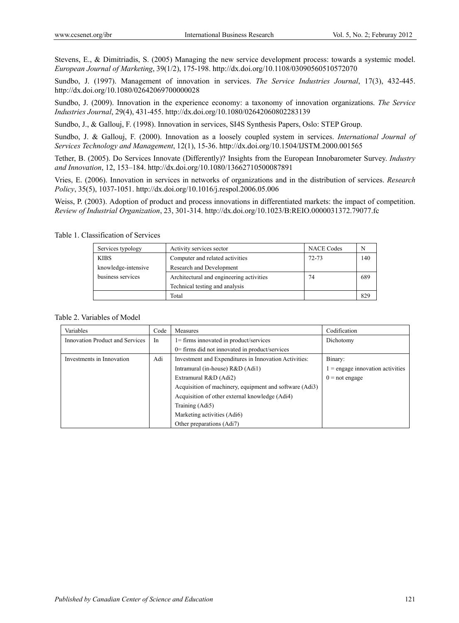Stevens, E., & Dimitriadis, S. (2005) Managing the new service development process: towards a systemic model. *European Journal of Marketing*, 39(1/2), 175-198. http://dx.doi.org/10.1108/03090560510572070

Sundbo, J. (1997). Management of innovation in services. *The Service Industries Journal*, 17(3), 432-445. http://dx.doi.org/10.1080/02642069700000028

Sundbo, J. (2009). Innovation in the experience economy: a taxonomy of innovation organizations. *The Service Industries Journal*, 29(4), 431-455. http://dx.doi.org/10.1080/02642060802283139

Sundbo, J., & Gallouj, F. (1998). Innovation in services, SI4S Synthesis Papers, Oslo: STEP Group.

Sundbo, J. & Gallouj, F. (2000). Innovation as a loosely coupled system in services. *International Journal of Services Technology and Management*, 12(1), 15-36. http://dx.doi.org/10.1504/IJSTM.2000.001565

Tether, B. (2005). Do Services Innovate (Differently)? Insights from the European Innobarometer Survey. *Industry and Innovation*, 12, 153–184. http://dx.doi.org/10.1080/13662710500087891

Vries, E. (2006). Innovation in services in networks of organizations and in the distribution of services. *Research Policy*, 35(5), 1037-1051. http://dx.doi.org/10.1016/j.respol.2006.05.006

Weiss, P. (2003). Adoption of product and process innovations in differentiated markets: the impact of competition. *Review of Industrial Organization*, 23, 301-314. http://dx.doi.org/10.1023/B:REIO.0000031372.79077.fc

Table 1. Classification of Services

| Services typology   | Activity services sector                 | <b>NACE Codes</b> |     |
|---------------------|------------------------------------------|-------------------|-----|
| <b>KIBS</b>         | Computer and related activities          | 72-73             | 140 |
| knowledge-intensive | Research and Development                 |                   |     |
| business services   | Architectural and engineering activities | 74                | 689 |
|                     | Technical testing and analysis           |                   |     |
|                     | Total                                    |                   | 829 |

Table 2. Variables of Model

| Variables                              | Code | Measures                                                | Codification                       |
|----------------------------------------|------|---------------------------------------------------------|------------------------------------|
| <b>Innovation Product and Services</b> | In   | $1 =$ firms innovated in product/services               | Dichotomy                          |
|                                        |      | $0$ = firms did not innovated in product/services       |                                    |
| Investments in Innovation              | Adi  | Investment and Expenditures in Innovation Activities:   | Binary:                            |
|                                        |      | Intramural (in-house) R&D (Adi1)                        | $1$ = engage innovation activities |
|                                        |      | Extramural R&D (Adi2)                                   | $0 = not engage$                   |
|                                        |      | Acquisition of machinery, equipment and software (Adi3) |                                    |
|                                        |      | Acquisition of other external knowledge (Adi4)          |                                    |
|                                        |      | Training (Adi5)                                         |                                    |
|                                        |      | Marketing activities (Adi6)                             |                                    |
|                                        |      | Other preparations (Adi7)                               |                                    |